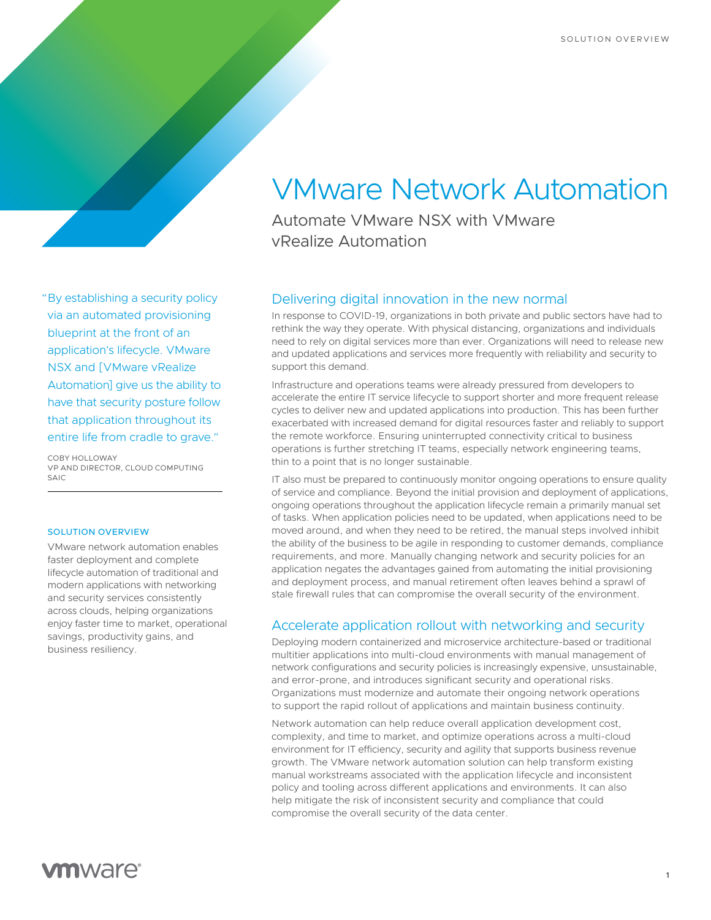## "By establishing a security policy via an automated provisioning blueprint at the front of an application's lifecycle. VMware NSX and [VMware vRealize Automation] give us the ability to have that security posture follow that application throughout its entire life from cradle to grave."

COBY HOLLOWAY VP AND DIRECTOR, CLOUD COMPUTING  $SAIC$ 

#### SOLUTION OVERVIEW

VMware network automation enables faster deployment and complete lifecycle automation of traditional and modern applications with networking and security services consistently across clouds, helping organizations enjoy faster time to market, operational savings, productivity gains, and business resiliency.

# VMware Network Automation

Automate VMware NSX with VMware vRealize Automation

### Delivering digital innovation in the new normal

In response to COVID-19, organizations in both private and public sectors have had to rethink the way they operate. With physical distancing, organizations and individuals need to rely on digital services more than ever. Organizations will need to release new and updated applications and services more frequently with reliability and security to support this demand.

Infrastructure and operations teams were already pressured from developers to accelerate the entire IT service lifecycle to support shorter and more frequent release cycles to deliver new and updated applications into production. This has been further exacerbated with increased demand for digital resources faster and reliably to support the remote workforce. Ensuring uninterrupted connectivity critical to business operations is further stretching IT teams, especially network engineering teams, thin to a point that is no longer sustainable.

IT also must be prepared to continuously monitor ongoing operations to ensure quality of service and compliance. Beyond the initial provision and deployment of applications, ongoing operations throughout the application lifecycle remain a primarily manual set of tasks. When application policies need to be updated, when applications need to be moved around, and when they need to be retired, the manual steps involved inhibit the ability of the business to be agile in responding to customer demands, compliance requirements, and more. Manually changing network and security policies for an application negates the advantages gained from automating the initial provisioning and deployment process, and manual retirement often leaves behind a sprawl of stale firewall rules that can compromise the overall security of the environment.

#### Accelerate application rollout with networking and security

Deploying modern containerized and microservice architecture-based or traditional multitier applications into multi-cloud environments with manual management of network configurations and security policies is increasingly expensive, unsustainable, and error-prone, and introduces significant security and operational risks. Organizations must modernize and automate their ongoing network operations to support the rapid rollout of applications and maintain business continuity.

Network automation can help reduce overall application development cost, complexity, and time to market, and optimize operations across a multi-cloud environment for IT efficiency, security and agility that supports business revenue growth. The VMware network automation solution can help transform existing manual workstreams associated with the application lifecycle and inconsistent policy and tooling across different applications and environments. It can also help mitigate the risk of inconsistent security and compliance that could compromise the overall security of the data center.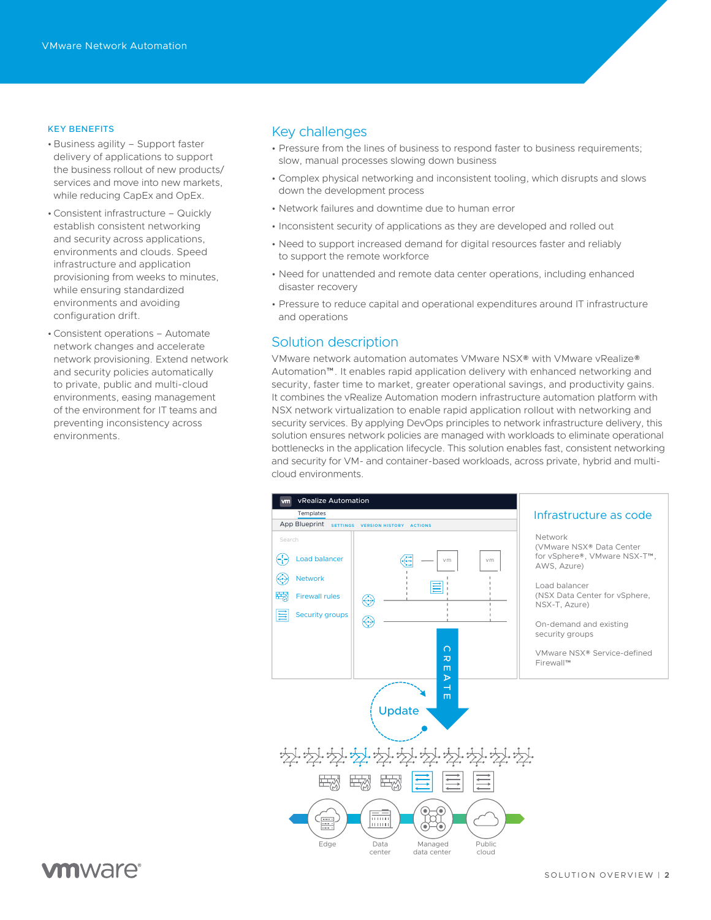#### KEY BENEFITS

- Business agility Support faster delivery of applications to support the business rollout of new products/ services and move into new markets, while reducing CapEx and OpEx.
- •Consistent infrastructure Quickly establish consistent networking and security across applications, environments and clouds. Speed infrastructure and application provisioning from weeks to minutes, while ensuring standardized environments and avoiding configuration drift.
- •Consistent operations Automate network changes and accelerate network provisioning. Extend network and security policies automatically to private, public and multi-cloud environments, easing management of the environment for IT teams and preventing inconsistency across environments.

#### Key challenges

- Pressure from the lines of business to respond faster to business requirements; slow, manual processes slowing down business
- Complex physical networking and inconsistent tooling, which disrupts and slows down the development process
- Network failures and downtime due to human error
- Inconsistent security of applications as they are developed and rolled out
- Need to support increased demand for digital resources faster and reliably to support the remote workforce
- Need for unattended and remote data center operations, including enhanced disaster recovery
- Pressure to reduce capital and operational expenditures around IT infrastructure and operations

#### Solution description

VMware network automation automates VMware NSX® with VMware vRealize® Automation™. It enables rapid application delivery with enhanced networking and security, faster time to market, greater operational savings, and productivity gains. It combines the vRealize Automation modern infrastructure automation platform with NSX network virtualization to enable rapid application rollout with networking and security services. By applying DevOps principles to network infrastructure delivery, this solution ensures network policies are managed with workloads to eliminate operational bottlenecks in the application lifecycle. This solution enables fast, consistent networking and security for VM- and container-based workloads, across private, hybrid and multicloud environments.



# **vm**ware<sup>®</sup>